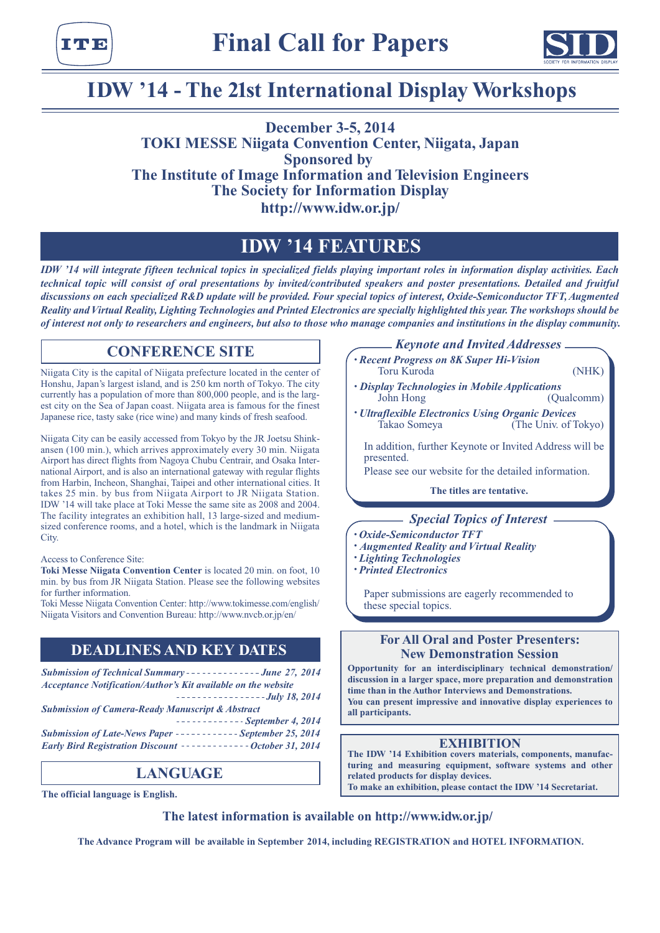



# **IDW '14 - The 21st International Display Workshops**

**December 3-5, 2014 TOKI MESSE Niigata Convention Center, Niigata, Japan Sponsored by The Institute of Image Information and Television Engineers The Society for Information Display http://www.idw.or.jp/**

# **IDW '14 FEATURES**

*IDW '14 will integrate fifteen technical topics in specialized fields playing important roles in information display activities. Each technical topic will consist of oral presentations by invited/contributed speakers and poster presentations. Detailed and fruitful discussions on each specialized R&D update will be provided. Four special topics of interest, Oxide-Semiconductor TFT, Augmented Reality and Virtual Reality, Lighting Technologies and Printed Electronics are specially highlighted this year. The workshops should be of interest not only to researchers and engineers, but also to those who manage companies and institutions in the display community.*

### **CONFERENCE SITE**

Niigata City is the capital of Niigata prefecture located in the center of Honshu, Japan's largest island, and is 250 km north of Tokyo. The city currently has a population of more than 800,000 people, and is the largest city on the Sea of Japan coast. Niigata area is famous for the finest Japanese rice, tasty sake (rice wine) and many kinds of fresh seafood.

Niigata City can be easily accessed from Tokyo by the JR Joetsu Shinkansen (100 min.), which arrives approximately every 30 min. Niigata Airport has direct flights from Nagoya Chubu Centrair, and Osaka International Airport, and is also an international gateway with regular flights from Harbin, Incheon, Shanghai, Taipei and other international cities. It takes 25 min. by bus from Niigata Airport to JR Niigata Station. IDW '14 will take place at Toki Messe the same site as 2008 and 2004. The facility integrates an exhibition hall, 13 large-sized and mediumsized conference rooms, and a hotel, which is the landmark in Niigata City.

#### Access to Conference Site:

**Toki Messe Niigata Convention Center** is located 20 min. on foot, 10 min. by bus from JR Niigata Station. Please see the following websites for further information.

Toki Messe Niigata Convention Center: http://www.tokimesse.com/english/ Niigata Visitors and Convention Bureau: http://www.nvcb.or.jp/en/

### **DEADLINES AND KEY DATES**

**Submission of Technical Summary - - - - - - - - - - - - - June 27, 2014** *Acceptance Notification/Author's Kit available on the website*

*July 18, 2014 Submission of Camera-Ready Manuscript & Abstract*

*September 4, 2014*

**Submission of Late-News Paper - - - - - - - - - - - - September 25, 2014** *Early Bird Registration Discount -------------- October 31, 2014* 

### **LANGUAGE**

**The official language is English.**

*Keynote and Invited Addresses*

- *• Recent Progress on 8K Super Hi-Vision* Toru Kuroda (NHK)
- *Display Technologies in Mobile Applications* John Hong (Qualcomm)
- *• Ultraflexible Electronics Using Organic Devices* Takao Someya (The Univ. of Tokyo)

In addition, further Keynote or Invited Address will be presented.

Please see our website for the detailed information.

**The titles are tentative.**

### *Special Topics of Interest*

- *• Oxide-Semiconductor TFT*
- *• Augmented Reality and Virtual Reality*
- *• Lighting Technologies*
- *• Printed Electronics*

Paper submissions are eagerly recommended to these special topics.

### **For All Oral and Poster Presenters: New Demonstration Session**

**Opportunity for an interdisciplinary technical demonstration/ discussion in a larger space, more preparation and demonstration time than in the Author Interviews and Demonstrations. You can present impressive and innovative display experiences to all participants.**

### **EXHIBITION**

**The IDW '14 Exhibition covers materials, components, manufacturing and measuring equipment, software systems and other related products for display devices. To make an exhibition, please contact the IDW '14 Secretariat.**

**The latest information is available on http://www.idw.or.jp/**

**The Advance Program will be available in September 2014, including REGISTRATION and HOTEL INFORMATION.**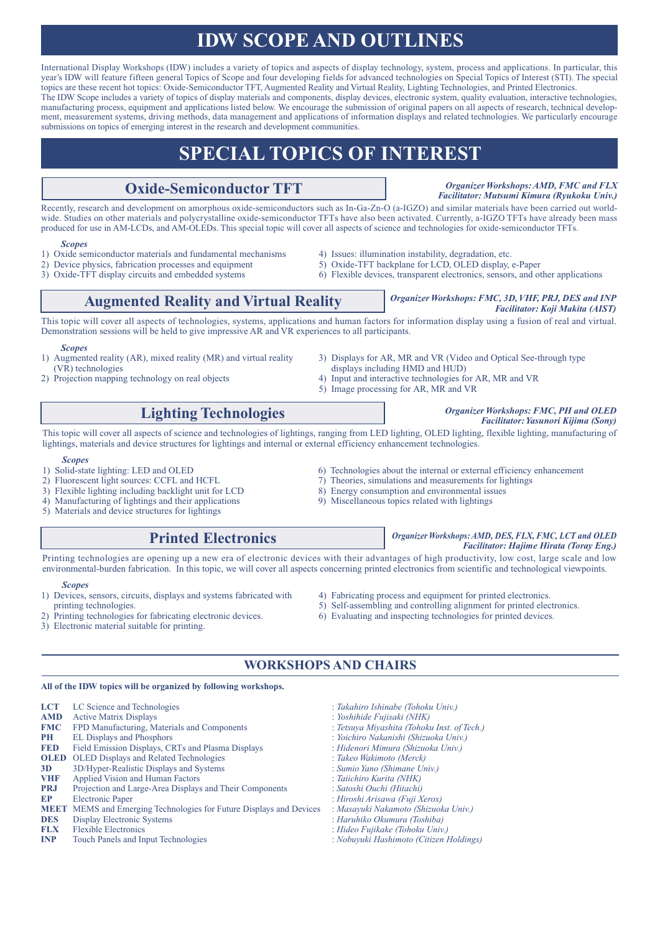# **IDW SCOPE AND OUTLINES**

International Display Workshops (IDW) includes a variety of topics and aspects of display technology, system, process and applications. In particular, this year's IDW will feature fifteen general Topics of Scope and four developing fields for advanced technologies on Special Topics of Interest (STI). The special topics are these recent hot topics: Oxide-Semiconductor TFT, Augmented Reality and Virtual Reality, Lighting Technologies, and Printed Electronics. The IDW Scope includes a variety of topics of display materials and components, display devices, electronic system, quality evaluation, interactive technologies, manufacturing process, equipment and applications listed below. We encourage the submission of original papers on all aspects of research, technical development, measurement systems, driving methods, data management and applications of information displays and related technologies. We particularly encourage submissions on topics of emerging interest in the research and development communities.

# **SPECIAL TOPICS OF INTEREST**

### **Oxide-Semiconductor TFT**

*Organizer Workshops: AMD, FMC and FLX Facilitator: Mutsumi Kimura (Ryukoku Univ.)*

Recently, research and development on amorphous oxide-semiconductors such as In-Ga-Zn-O (a-IGZO) and similar materials have been carried out worldwide. Studies on other materials and polycrystalline oxide-semiconductor TFTs have also been activated. Currently, a-IGZO TFTs have already been mass produced for use in AM-LCDs, and AM-OLEDs. This special topic will cover all aspects of science and technologies for oxide-semiconductor TFTs.

#### *Scopes*

- 1) Oxide semiconductor materials and fundamental mechanisms (a) Issues: illumination instability, degradation, etc. 2) Device physics, fabrication processes and equipment (b) Oxide-TFT backplane for LCD, OLED display,
- 2) Device physics, fabrication processes and equipment 5) Oxide-TFT backplane for LCD, OLED display, e-Paper 3) Oxide-TFT display circuits and embedded systems 6) Flexible devices, transparent electronics, sensors, and o
- 
- 
- 
- 6) Flexible devices, transparent electronics, sensors, and other applications

### **Augmented Reality and Virtual Reality** *Organizer Workshops: FMC, 3D, VHF, PRJ, DES and INP*

This topic will cover all aspects of technologies, systems, applications and human factors for information display using a fusion of real and virtual. Demonstration sessions will be held to give impressive AR and VR experiences to all participants.

#### *Scopes*

- 1) Augmented reality (AR), mixed reality (MR) and virtual reality (VR) technologies
- 3) Displays for AR, MR and VR (Video and Optical See-through type displays including HMD and HUD)
- 4) Input and interactive technologies for AR, MR and VR

## **Lighting Technologies**

This topic will cover all aspects of science and technologies of lightings, ranging from LED lighting, OLED lighting, flexible lighting, manufacturing of lightings, materials and device structures for lightings and internal or external efficiency enhancement technologies.

- *Scopes*<br>1) Solid-state lighting: LED and OLED
- 

2) Projection mapping technology on real objects

- 3) Flexible lighting including backlight unit for LCD 8) Energy consumption and environmental iss<br>
3) Manufacturing of lightings and their applications<br>
9) Miscellaneous topics related with lightings
- 4) Manufacturing of lightings and their applications
- 5) Materials and device structures for lightings

### **Printed Electronics**

5) Image processing for AR, MR and VR

#### *Organizer Workshops: FMC, PH and OLED Facilitator: Yasunori Kijima (Sony)*

*Facilitator: Koji Makita (AIST)*

- 1) Solid-state lighting: LED and OLED 6) Technologies about the internal or external efficiency enhancement 2) Fluorescent light sources: CCFL and HCFL 7) Theories, simulations and measurements for lightings
	- 7) Theories, simulations and measurements for lightings 8) Energy consumption and environmental issues
	-
	-

### Printing technologies are opening up a new era of electronic devices with their advantages of high productivity, low cost, large scale and low environmental-burden fabrication. In this topic, we will cover all aspects concerning printed electronics from scientific and technological viewpoints.

#### *Scopes*

- 1) Devices, sensors, circuits, displays and systems fabricated with printing technologies.
- Printing technologies for fabricating electronic devices.
- 3) Electronic material suitable for printing.
- 4) Fabricating process and equipment for printed electronics.
- 5) Self-assembling and controlling alignment for printed electronics.
- 6) Evaluating and inspecting technologies for printed devices.

### **WORKSHOPS AND CHAIRS**

#### **All of the IDW topics will be organized by following workshops.**

|                                                         | : Takahiro Ishinabe (Tohoku Univ.)                                                                                                                                                                                   |
|---------------------------------------------------------|----------------------------------------------------------------------------------------------------------------------------------------------------------------------------------------------------------------------|
| <b>Active Matrix Displays</b>                           | : Yoshihide Fujisaki (NHK)                                                                                                                                                                                           |
| FPD Manufacturing, Materials and Components             | : Tetsuya Miyashita (Tohoku Inst. of Tech.)                                                                                                                                                                          |
| <b>EL Displays and Phosphors</b>                        | : Yoichiro Nakanishi (Shizuoka Univ.)                                                                                                                                                                                |
|                                                         | : Hidenori Mimura (Shizuoka Univ.)                                                                                                                                                                                   |
|                                                         | : Takeo Wakimoto (Merck)                                                                                                                                                                                             |
| 3D/Hyper-Realistic Displays and Systems                 | : Sumio Yano (Shimane Univ.)                                                                                                                                                                                         |
| Applied Vision and Human Factors                        | : Taiichiro Kurita (NHK)                                                                                                                                                                                             |
| Projection and Large-Area Displays and Their Components | : Satoshi Ouchi (Hitachi)                                                                                                                                                                                            |
| <b>Electronic Paper</b>                                 | : Hiroshi Arisawa (Fuji Xerox)                                                                                                                                                                                       |
|                                                         | : Masayuki Nakamoto (Shizuoka Univ.)                                                                                                                                                                                 |
| Display Electronic Systems                              | : Haruhiko Okumura (Toshiba)                                                                                                                                                                                         |
| <b>Flexible Electronics</b>                             | : Hideo Fujikake (Tohoku Univ.)                                                                                                                                                                                      |
| Touch Panels and Input Technologies                     | : Nobuyuki Hashimoto (Citizen Holdings)                                                                                                                                                                              |
|                                                         | LC Science and Technologies<br>Field Emission Displays, CRTs and Plasma Displays<br><b>OLED</b> OLED Displays and Related Technologies<br><b>MEET</b> MEMS and Emerging Technologies for Future Displays and Devices |

*Organizer Workshops: AMD, DES, FLX, FMC, LCT and OLED Facilitator: Hajime Hirata (Toray Eng.)*

- 
- 
-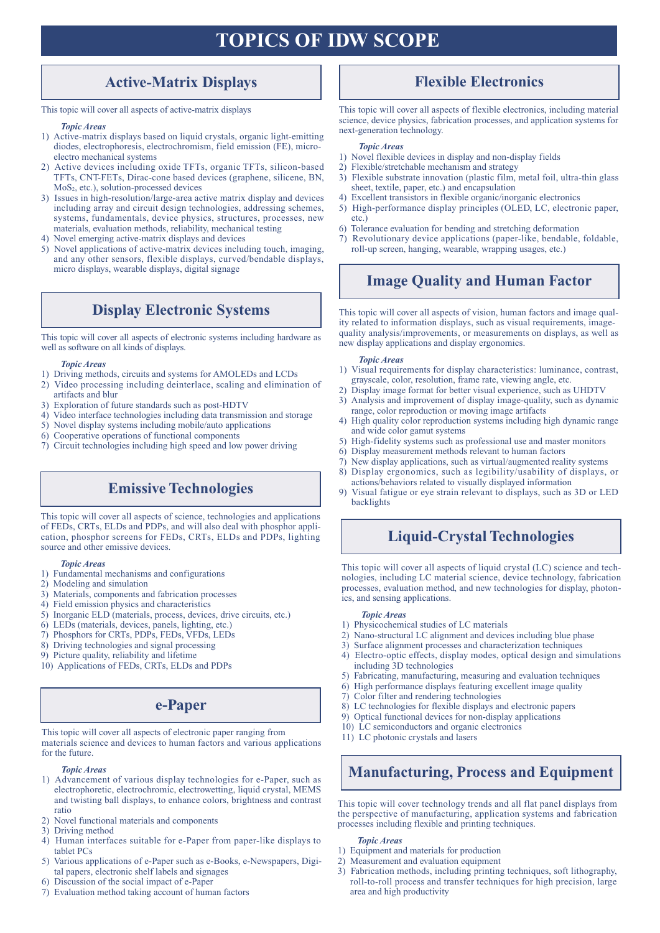# **TOPICS OF IDW SCOPE**

### **Active-Matrix Displays**

This topic will cover all aspects of active-matrix displays

#### *Topic Areas*

- 1) Active-matrix displays based on liquid crystals, organic light-emitting diodes, electrophoresis, electrochromism, field emission (FE), microelectro mechanical systems
- 2) Active devices including oxide TFTs, organic TFTs, silicon-based TFTs, CNT-FETs, Dirac-cone based devices (graphene, silicene, BN,  $MoS<sub>2</sub>, etc.),$  solution-processed devices
- 3) Issues in high-resolution/large-area active matrix display and devices including array and circuit design technologies, addressing schemes, systems, fundamentals, device physics, structures, processes, new materials, evaluation methods, reliability, mechanical testing
- 4) Novel emerging active-matrix displays and devices
- 5) Novel applications of active-matrix devices including touch, imaging, and any other sensors, flexible displays, curved/bendable displays, micro displays, wearable displays, digital signage

### **Display Electronic Systems**

This topic will cover all aspects of electronic systems including hardware as well as software on all kinds of displays.

#### *Topic Areas*

- 1) Driving methods, circuits and systems for AMOLEDs and LCDs
- 2) Video processing including deinterlace, scaling and elimination of
- artifacts and blur 3) Exploration of future standards such as post-HDTV
- 
- 4) Video interface technologies including data transmission and storage 5) Novel display systems including mobile/auto applications
- 6) Cooperative operations of functional components
- 
- 7) Circuit technologies including high speed and low power driving

### **Emissive Technologies**

This topic will cover all aspects of science, technologies and applications of FEDs, CRTs, ELDs and PDPs, and will also deal with phosphor application, phosphor screens for FEDs, CRTs, ELDs and PDPs, lighting source and other emissive devices.

- *Topic Areas*
- 1) Fundamental mechanisms and configurations
- 2) Modeling and simulation
- 3) Materials, components and fabrication processes
- 4) Field emission physics and characteristics
- 5) Inorganic ELD (materials, process, devices, drive circuits, etc.)
- 6) LEDs (materials, devices, panels, lighting, etc.)
- 7) Phosphors for CRTs, PDPs, FEDs, VFDs, LEDs
- 8) Driving technologies and signal processing
- 9) Picture quality, reliability and lifetime
- 10) Applications of FEDs, CRTs, ELDs and PDPs

### **e-Paper**

This topic will cover all aspects of electronic paper ranging from materials science and devices to human factors and various applications for the future.

#### *Topic Areas*

- 1) Advancement of various display technologies for e-Paper, such as electrophoretic, electrochromic, electrowetting, liquid crystal, MEMS and twisting ball displays, to enhance colors, brightness and contrast ratio
- 2) Novel functional materials and components
- 3) Driving method
- 4) Human interfaces suitable for e-Paper from paper-like displays to tablet PCs
- 5) Various applications of e-Paper such as e-Books, e-Newspapers, Digital papers, electronic shelf labels and signages
- 6) Discussion of the social impact of e-Paper
- 7) Evaluation method taking account of human factors

### **Flexible Electronics**

This topic will cover all aspects of flexible electronics, including material science, device physics, fabrication processes, and application systems for next-generation technology.

#### *Topic Areas*

- 1) Novel flexible devices in display and non-display fields
- 2) Flexible/stretchable mechanism and strategy
- 3) Flexible substrate innovation (plastic film, metal foil, ultra-thin glass sheet, textile, paper, etc.) and encapsulation
- 4) Excellent transistors in flexible organic/inorganic electronics
- 5) High-performance display principles (OLED, LC, electronic paper, etc.)
- 6) Tolerance evaluation for bending and stretching deformation
- 7) Revolutionary device applications (paper-like, bendable, foldable, roll-up screen, hanging, wearable, wrapping usages, etc.)

### **Image Quality and Human Factor**

This topic will cover all aspects of vision, human factors and image quality related to information displays, such as visual requirements, imagequality analysis/improvements, or measurements on displays, as well as new display applications and display ergonomics.

#### *Topic Areas*

- 1) Visual requirements for display characteristics: luminance, contrast, grayscale, color, resolution, frame rate, viewing angle, etc.
- 2) Display image format for better visual experience, such as UHDTV
- 3) Analysis and improvement of display image-quality, such as dynamic
- range, color reproduction or moving image artifacts 4) High quality color reproduction systems including high dynamic range and wide color gamut systems
- 5) High-fidelity systems such as professional use and master monitors
- 6) Display measurement methods relevant to human factors
- 7) New display applications, such as virtual/augmented reality systems
- 8) Display ergonomics, such as legibility/usability of displays, or actions/behaviors related to visually displayed information
- 9) Visual fatigue or eye strain relevant to displays, such as 3D or LED backlights

### **Liquid-Crystal Technologies**

This topic will cover all aspects of liquid crystal (LC) science and technologies, including LC material science, device technology, fabrication processes, evaluation method, and new technologies for display, photonics, and sensing applications.

#### *Topic Areas*

- 1) Physicochemical studies of LC materials
- 2) Nano-structural LC alignment and devices including blue phase
- 3) Surface alignment processes and characterization techniques
- 4) Electro-optic effects, display modes, optical design and simulations including 3D technologies
- 5) Fabricating, manufacturing, measuring and evaluation techniques
- 6) High performance displays featuring excellent image quality
- 7) Color filter and rendering technologies
- 8) LC technologies for flexible displays and electronic papers
- 9) Optical functional devices for non-display applications
- 10) LC semiconductors and organic electronics
- 11) LC photonic crystals and lasers

## **Manufacturing, Process and Equipment**

This topic will cover technology trends and all flat panel displays from the perspective of manufacturing, application systems and fabrication processes including flexible and printing techniques.

#### *Topic Areas*

- 1) Equipment and materials for production
- 2) Measurement and evaluation equipment
- 3) Fabrication methods, including printing techniques, soft lithography, roll-to-roll process and transfer techniques for high precision, large area and high productivity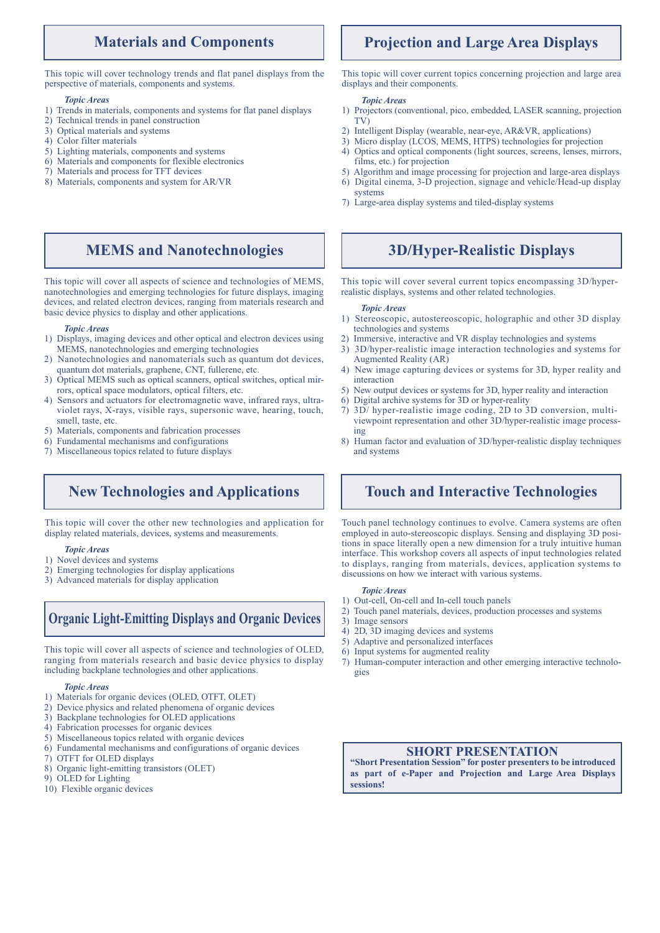### **Materials and Components**

This topic will cover technology trends and flat panel displays from the perspective of materials, components and systems.

#### *Topic Areas*

- 1) Trends in materials, components and systems for flat panel displays
- 2) Technical trends in panel construction
- 3) Optical materials and systems
- 4) Color filter materials
- 5) Lighting materials, components and systems
- 6) Materials and components for flexible electronics 7) Materials and process for TFT devices
- 8) Materials, components and system for AR/VR

#### This topic will cover all aspects of science and technologies of MEMS, nanotechnologies and emerging technologies for future displays, imaging devices, and related electron devices, ranging from materials research and basic device physics to display and other applications.

**MEMS and Nanotechnologies**

#### *Topic Areas*

- 1) Displays, imaging devices and other optical and electron devices using MEMS, nanotechnologies and emerging technologies
- 2) Nanotechnologies and nanomaterials such as quantum dot devices, quantum dot materials, graphene, CNT, fullerene, etc.
- 3) Optical MEMS such as optical scanners, optical switches, optical mirrors, optical space modulators, optical filters, etc.
- 4) Sensors and actuators for electromagnetic wave, infrared rays, ultraviolet rays, X-rays, visible rays, supersonic wave, hearing, touch, smell, taste, etc.
- 5) Materials, components and fabrication processes
- 6) Fundamental mechanisms and configurations
- 7) Miscellaneous topics related to future displays

### **New Technologies and Applications**

This topic will cover the other new technologies and application for display related materials, devices, systems and measurements.

#### *Topic Areas*

- 1) Novel devices and systems
- 2) Emerging technologies for display applications
- 3) Advanced materials for display application

## **Organic Light-Emitting Displays and Organic Devices**

This topic will cover all aspects of science and technologies of OLED, ranging from materials research and basic device physics to display including backplane technologies and other applications.

#### *Topic Areas*

- 1) Materials for organic devices (OLED, OTFT, OLET)
- 2) Device physics and related phenomena of organic devices
- 3) Backplane technologies for OLED applications
- 4) Fabrication processes for organic devices
- 5) Miscellaneous topics related with organic devices
- 6) Fundamental mechanisms and configurations of organic devices
- 7) OTFT for OLED displays
- 8) Organic light-emitting transistors (OLET)
- 9) OLED for Lighting
- 10) Flexible organic devices

### **Projection and Large Area Displays**

This topic will cover current topics concerning projection and large area displays and their components.

#### *Topic Areas*

- 1) Projectors (conventional, pico, embedded, LASER scanning, projection TV)
- 2) Intelligent Display (wearable, near-eye, AR&VR, applications)
- 3) Micro display (LCOS, MEMS, HTPS) technologies for projection
- 4) Optics and optical components (light sources, screens, lenses, mirrors, films, etc.) for projection
- 5) Algorithm and image processing for projection and large-area displays
- 6) Digital cinema, 3-D projection, signage and vehicle/Head-up display systems
- 7) Large-area display systems and tiled-display systems

### **3D/Hyper-Realistic Displays**

This topic will cover several current topics encompassing 3D/hyperrealistic displays, systems and other related technologies.

#### *Topic Areas*

- 1) Stereoscopic, autostereoscopic, holographic and other 3D display technologies and systems
- 2) Immersive, interactive and VR display technologies and systems
- 3) 3D/hyper-realistic image interaction technologies and systems for Augmented Reality (AR)
- 4) New image capturing devices or systems for 3D, hyper reality and interaction
- 5) New output devices or systems for 3D, hyper reality and interaction
- 6) Digital archive systems for 3D or hyper-reality
- 7) 3D/ hyper-realistic image coding, 2D to 3D conversion, multiviewpoint representation and other 3D/hyper-realistic image processing
- 8) Human factor and evaluation of 3D/hyper-realistic display techniques and systems

### **Touch and Interactive Technologies**

Touch panel technology continues to evolve. Camera systems are often employed in auto-stereoscopic displays. Sensing and displaying 3D positions in space literally open a new dimension for a truly intuitive human interface. This workshop covers all aspects of input technologies related to displays, ranging from materials, devices, application systems to discussions on how we interact with various systems.

#### *Topic Areas*

- 1) Out-cell, On-cell and In-cell touch panels
- 2) Touch panel materials, devices, production processes and systems
- 3) Image sensors
- 4) 2D, 3D imaging devices and systems
- 5) Adaptive and personalized interfaces
- 6) Input systems for augmented reality
- 7) Human-computer interaction and other emerging interactive technologies

### **SHORT PRESENTATION**

**"Short Presentation Session" for poster presenters to be introduced as part of e-Paper and Projection and Large Area Displays sessions!**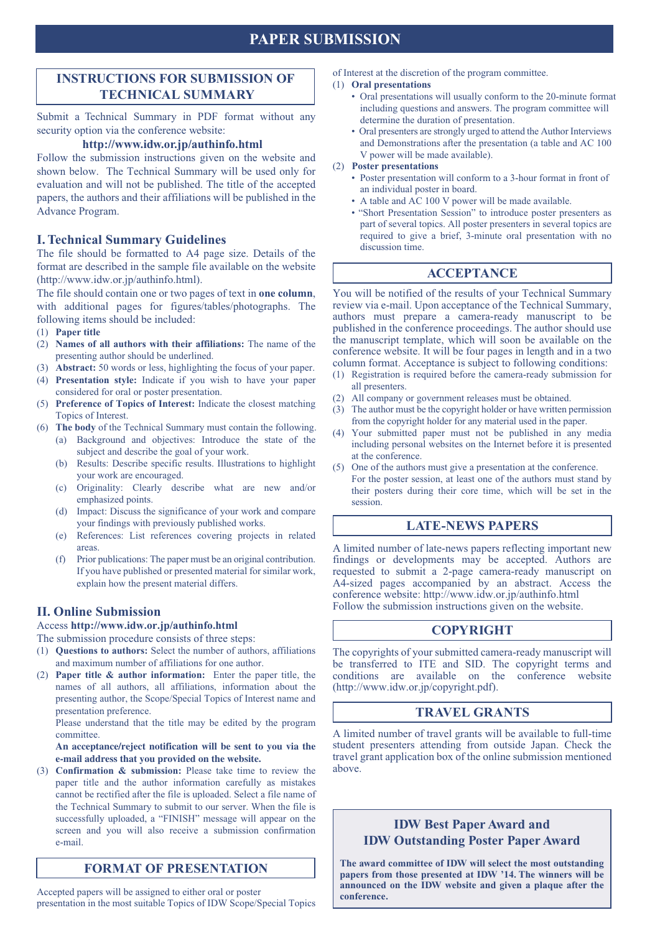## **PAPER SUBMISSION**

### **INSTRUCTIONS FOR SUBMISSION OF TECHNICAL SUMMARY**

Submit a Technical Summary in PDF format without any security option via the conference website:

### **http://www.idw.or.jp/authinfo.html**

Follow the submission instructions given on the website and shown below. The Technical Summary will be used only for evaluation and will not be published. The title of the accepted papers, the authors and their affiliations will be published in the Advance Program.

### **I. Technical Summary Guidelines**

The file should be formatted to A4 page size. Details of the format are described in the sample file available on the website (http://www.idw.or.jp/authinfo.html).

The file should contain one or two pages of text in **one column**, with additional pages for figures/tables/photographs. The following items should be included:

- (1) **Paper title**
- (2) **Names of all authors with their affiliations:** The name of the presenting author should be underlined.
- (3) **Abstract:** 50 words or less, highlighting the focus of your paper.
- (4) **Presentation style:** Indicate if you wish to have your paper considered for oral or poster presentation.
- (5) **Preference of Topics of Interest:** Indicate the closest matching Topics of Interest.
- (6) **The body** of the Technical Summary must contain the following. (a) Background and objectives: Introduce the state of the subject and describe the goal of your work.
	- (b) Results: Describe specific results. Illustrations to highlight your work are encouraged.
	- (c) Originality: Clearly describe what are new and/or emphasized points.
	- (d) Impact: Discuss the significance of your work and compare your findings with previously published works.
	- (e) References: List references covering projects in related areas.
	- (f) Prior publications: The paper must be an original contribution. If you have published or presented material for similar work, explain how the present material differs.

### **II. Online Submission**

### Access **http://www.idw.or.jp/authinfo.html**

The submission procedure consists of three steps:

- (1) **Questions to authors:** Select the number of authors, affiliations and maximum number of affiliations for one author.
- (2) **Paper title & author information:** Enter the paper title, the names of all authors, all affiliations, information about the presenting author, the Scope/Special Topics of Interest name and presentation preference.

 Please understand that the title may be edited by the program committee.

#### **An acceptance/reject notification will be sent to you via the e-mail address that you provided on the website.**

(3) **Confirmation & submission:** Please take time to review the paper title and the author information carefully as mistakes cannot be rectified after the file is uploaded. Select a file name of the Technical Summary to submit to our server. When the file is successfully uploaded, a "FINISH" message will appear on the screen and you will also receive a submission confirmation e-mail.

### **FORMAT OF PRESENTATION**

Accepted papers will be assigned to either oral or poster presentation in the most suitable Topics of IDW Scope/Special Topics of Interest at the discretion of the program committee.

#### (1) **Oral presentations**

- Oral presentations will usually conform to the 20-minute format including questions and answers. The program committee will determine the duration of presentation.
- Oral presenters are strongly urged to attend the Author Interviews and Demonstrations after the presentation (a table and AC 100 V power will be made available).
- (2) **Poster presentations**
	- Poster presentation will conform to a 3-hour format in front of an individual poster in board.
	- A table and AC 100 V power will be made available.
	- "Short Presentation Session" to introduce poster presenters as part of several topics. All poster presenters in several topics are required to give a brief, 3-minute oral presentation with no discussion time.

### **ACCEPTANCE**

You will be notified of the results of your Technical Summary review via e-mail. Upon acceptance of the Technical Summary, authors must prepare a camera-ready manuscript to be published in the conference proceedings. The author should use the manuscript template, which will soon be available on the conference website. It will be four pages in length and in a two column format. Acceptance is subject to following conditions:

- (1) Registration is required before the camera-ready submission for all presenters.
- (2) All company or government releases must be obtained.
- (3) The author must be the copyright holder or have written permission from the copyright holder for any material used in the paper.
- (4) Your submitted paper must not be published in any media including personal websites on the Internet before it is presented at the conference.
- (5) One of the authors must give a presentation at the conference. For the poster session, at least one of the authors must stand by their posters during their core time, which will be set in the session.

### **LATE-NEWS PAPERS**

A limited number of late-news papers reflecting important new findings or developments may be accepted. Authors are requested to submit a 2-page camera-ready manuscript on A4-sized pages accompanied by an abstract. Access the conference website: http://www.idw.or.jp/authinfo.html Follow the submission instructions given on the website.

### **COPYRIGHT**

The copyrights of your submitted camera-ready manuscript will be transferred to ITE and SID. The copyright terms and conditions are available on the conference website (http://www.idw.or.jp/copyright.pdf).

### **TRAVEL GRANTS**

A limited number of travel grants will be available to full-time student presenters attending from outside Japan. Check the travel grant application box of the online submission mentioned above.

### **IDW Best Paper Award and IDW Outstanding Poster Paper Award**

**The award committee of IDW will select the most outstanding papers from those presented at IDW '14. The winners will be announced on the IDW website and given a plaque after the conference.**